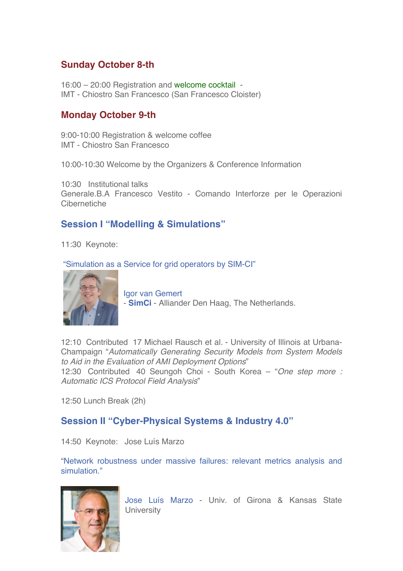# **Sunday October 8-th**

16:00 – 20:00 Registration and welcome cocktail - IMT - Chiostro San Francesco (San Francesco Cloister)

## **Monday October 9-th**

9:00-10:00 Registration & welcome coffee IMT - Chiostro San Francesco

10:00-10:30 Welcome by the Organizers & Conference Information

10:30 Institutional talks Generale.B.A Francesco Vestito - Comando Interforze per le Operazioni Cibernetiche

# **Session I "Modelling & Simulations"**

11:30 Keynote:

"Simulation as a Service for grid operators by SIM-CI"



Igor van Gemert - **SimCi** - Alliander Den Haag, The Netherlands.

12:10 Contributed 17 Michael Rausch et al. - University of Illinois at Urbana-Champaign "*Automatically Generating Security Models from System Models to Aid in the Evaluation of AMI Deployment Options*" 12:30 Contributed 40 Seungoh Choi - South Korea – "*One step more :* 

*Automatic ICS Protocol Field Analysis*"

12:50 Lunch Break (2h)

### **Session II "Cyber-Physical Systems & Industry 4.0"**

14:50 Keynote: Jose Luís Marzo

"Network robustness under massive failures: relevant metrics analysis and simulation."



Jose Luís Marzo - Univ. of Girona & Kansas State **University**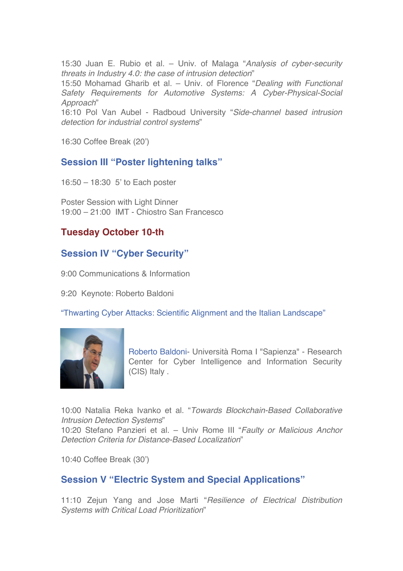15:30 Juan E. Rubio et al. – Univ. of Malaga "*Analysis of cyber-security threats in Industry 4.0: the case of intrusion detection*"

15:50 Mohamad Gharib et al. – Univ. of Florence "*Dealing with Functional Safety Requirements for Automotive Systems: A Cyber-Physical-Social Approach*"

16:10 Pol Van Aubel - Radboud University "*Side-channel based intrusion detection for industrial control systems*"

16:30 Coffee Break (20')

### **Session III "Poster lightening talks"**

16:50 – 18:30 5' to Each poster

Poster Session with Light Dinner 19:00 – 21:00 IMT - Chiostro San Francesco

# **Tuesday October 10-th**

### **Session IV "Cyber Security"**

9:00 Communications & Information

9:20 Keynote: Roberto Baldoni

"Thwarting Cyber Attacks: Scientific Alignment and the Italian Landscape"



Roberto Baldoni- Università Roma I "Sapienza" - Research Center for Cyber Intelligence and Information Security (CIS) Italy .

10:00 Natalia Reka Ivanko et al. "*Towards Blockchain-Based Collaborative Intrusion Detection Systems*"

10:20 Stefano Panzieri et al. – Univ Rome III "*Faulty or Malicious Anchor Detection Criteria for Distance-Based Localization*"

10:40 Coffee Break (30')

### **Session V "Electric System and Special Applications"**

11:10 Zejun Yang and Jose Marti "*Resilience of Electrical Distribution Systems with Critical Load Prioritization*"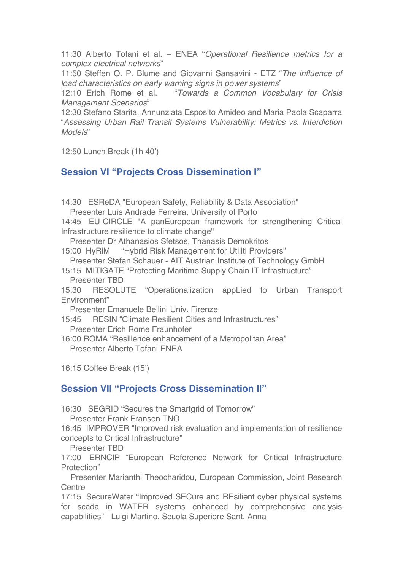11:30 Alberto Tofani et al. – ENEA "*Operational Resilience metrics for a complex electrical networks*"

11:50 Steffen O. P. Blume and Giovanni Sansavini - ETZ "*The influence of load characteristics on early warning signs in power systems*"

12:10 Erich Rome et al. "*Towards a Common Vocabulary for Crisis Management Scenarios*"

12:30 Stefano Starita, Annunziata Esposito Amideo and Maria Paola Scaparra "*Assessing Urban Rail Transit Systems Vulnerability: Metrics vs. Interdiction Models*"

12:50 Lunch Break (1h 40')

# **Session VI "Projects Cross Dissemination I"**

14:30 ESReDA "European Safety, Reliability & Data Association" Presenter Luís Andrade Ferreira, University of Porto

14:45 EU-CIRCLE "A panEuropean framework for strengthening Critical Infrastructure resilience to climate change"

Presenter Dr Athanasios Sfetsos, Thanasis Demokritos

15:00 HyRiM "Hybrid Risk Management for Utiliti Providers"

Presenter Stefan Schauer - AIT Austrian Institute of Technology GmbH

15:15 MITIGATE "Protecting Maritime Supply Chain IT Infrastructure" Presenter TBD

15:30 RESOLUTE "Operationalization appLied to Urban Transport Environment"

Presenter Emanuele Bellini Univ. Firenze

15:45 RESIN "Climate Resilient Cities and Infrastructures" Presenter Erich Rome Fraunhofer

16:00 ROMA "Resilience enhancement of a Metropolitan Area" Presenter Alberto Tofani ENEA

16:15 Coffee Break (15')

### **Session VII "Projects Cross Dissemination II"**

16:30 SEGRID "Secures the Smartgrid of Tomorrow"

Presenter Frank Fransen TNO

16:45 IMPROVER "Improved risk evaluation and implementation of resilience concepts to Critical Infrastructure"

Presenter TBD

17:00 ERNCIP "European Reference Network for Critical Infrastructure Protection"

Presenter Marianthi Theocharidou, European Commission, Joint Research **Centre** 

17:15 SecureWater "Improved SECure and REsilient cyber physical systems for scada in WATER systems enhanced by comprehensive analysis capabilities" - Luigi Martino, Scuola Superiore Sant. Anna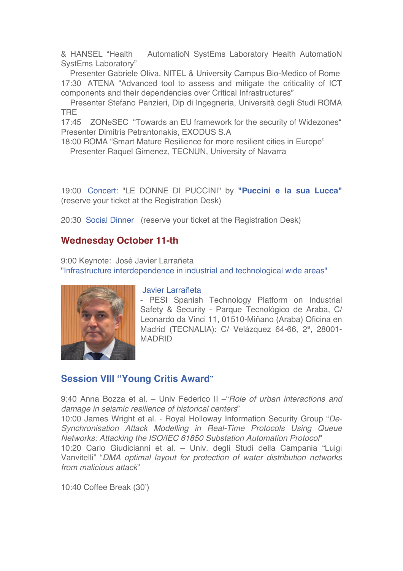& HANSEL "Health AutomatioN SystEms Laboratory Health AutomatioN SystEms Laboratory"

Presenter Gabriele Oliva, NITEL & University Campus Bio-Medico of Rome 17:30 ATENA "Advanced tool to assess and mitigate the criticality of ICT components and their dependencies over Critical Infrastructures"

Presenter Stefano Panzieri, Dip di Ingegneria, Università degli Studi ROMA TRE

17:45 ZONeSEC "Towards an EU framework for the security of Widezones" Presenter Dimitris Petrantonakis, EXODUS S.A

18:00 ROMA "Smart Mature Resilience for more resilient cities in Europe" Presenter Raquel Gimenez, TECNUN, University of Navarra

19:00 Concert: "LE DONNE DI PUCCINI" by **"Puccini e la sua Lucca"**  (reserve your ticket at the Registration Desk)

20:30 Social Dinner (reserve your ticket at the Registration Desk)

### **Wednesday October 11-th**

9:00 Keynote: José Javier Larrañeta

"Infrastructure interdependence in industrial and technological wide areas"



#### Javier Larrañeta

- PESI Spanish Technology Platform on Industrial Safety & Security - Parque Tecnológico de Araba, C/ Leonardo da Vinci 11, 01510-Miñano (Araba) Oficina en Madrid (TECNALIA): C/ Velázquez 64-66, 2ª, 28001- MADRID

# **Session VIII "Young Critis Award"**

9:40 Anna Bozza et al. – Univ Federico II –"*Role of urban interactions and damage in seismic resilience of historical centers*"

10:00 James Wright et al. - Royal Holloway Information Security Group "*De-Synchronisation Attack Modelling in Real-Time Protocols Using Queue Networks: Attacking the ISO/IEC 61850 Substation Automation Protocol*" 10:20 Carlo Giudicianni et al. – Univ. degli Studi della Campania "Luigi

Vanvitelli" "*DMA optimal layout for protection of water distribution networks from malicious attack*"

10:40 Coffee Break (30')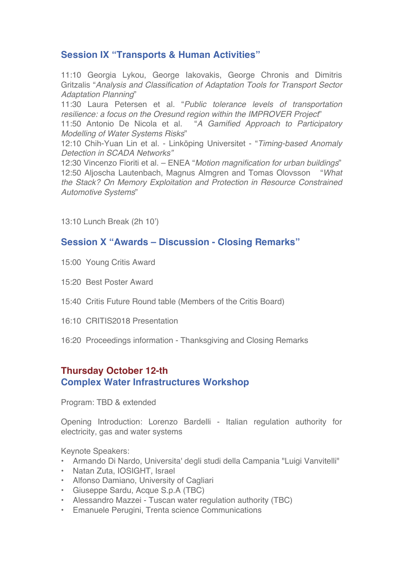# **Session IX "Transports & Human Activities"**

11:10 Georgia Lykou, George Iakovakis, George Chronis and Dimitris Gritzalis "*Analysis and Classification of Adaptation Tools for Transport Sector Adaptation Planning*"

11:30 Laura Petersen et al. "*Public tolerance levels of transportation resilience: a focus on the Oresund region within the IMPROVER Project*"

11:50 Antonio De Nicola et al. "*A Gamified Approach to Participatory Modelling of Water Systems Risks*"

12:10 Chih-Yuan Lin et al. - Linköping Universitet - "*Timing-based Anomaly Detection in SCADA Networks"*

12:30 Vincenzo Fioriti et al. – ENEA "*Motion magnification for urban buildings*" 12:50 Aljoscha Lautenbach, Magnus Almgren and Tomas Olovsson "*What the Stack? On Memory Exploitation and Protection in Resource Constrained Automotive Systems*"

13:10 Lunch Break (2h 10')

### **Session X "Awards – Discussion - Closing Remarks"**

- 15:00 Young Critis Award
- 15:20 Best Poster Award
- 15:40 Critis Future Round table (Members of the Critis Board)
- 16:10 CRITIS2018 Presentation
- 16:20 Proceedings information Thanksgiving and Closing Remarks

# **Thursday October 12-th**

#### **Complex Water Infrastructures Workshop**

Program: TBD & extended

Opening Introduction: Lorenzo Bardelli - Italian regulation authority for electricity, gas and water systems

Keynote Speakers:

- Armando Di Nardo, Universita' degli studi della Campania "Luigi Vanvitelli"
- Natan Zuta, IOSIGHT, Israel
- Alfonso Damiano, University of Cagliari
- Giuseppe Sardu, Acque S.p.A (TBC)
- Alessandro Mazzei Tuscan water regulation authority (TBC)
- Emanuele Perugini, Trenta science Communications